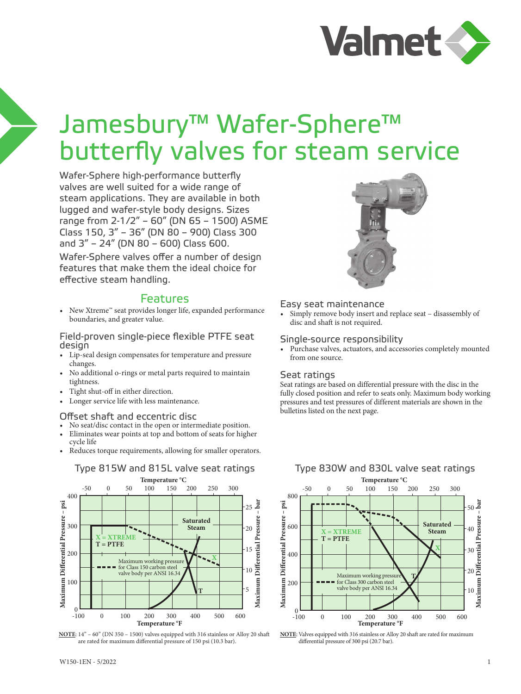

# Jamesbury™ Wafer-Sphere™ butterfly valves for steam service

Wafer-Sphere high-performance butterfly valves are well suited for a wide range of steam applications. They are available in both lugged and wafer-style body designs. Sizes range from 2-1/2" – 60" (DN 65 – 1500) ASME Class 150, 3" – 36" (DN 80 – 900) Class 300 and 3" – 24" (DN 80 – 600) Class 600. Wafer-Sphere valves offer a number of design features that make them the ideal choice for effective steam handling.

### Features

• New Xtreme™ seat provides longer life, expanded performance boundaries, and greater value.

Field-proven single-piece flexible PTFE seat design

- Lip-seal design compensates for temperature and pressure changes.
- No additional o-rings or metal parts required to maintain tightness.
- Tight shut-off in either direction.
- Longer service life with less maintenance.

#### Offset shaft and eccentric disc

- No seat/disc contact in the open or intermediate position.
- Eliminates wear points at top and bottom of seats for higher cycle life
- Reduces torque requirements, allowing for smaller operators.



**NOTE**: 14" – 60" (DN 350 – 1500) valves equipped with 316 stainless or Alloy 20 shaft are rated for maximum differential pressure of 150 psi (10.3 bar).



#### Easy seat maintenance

• Simply remove body insert and replace seat – disassembly of disc and shaft is not required.

#### Single-source responsibility

Purchase valves, actuators, and accessories completely mounted from one source.

#### Seat ratings

Seat ratings are based on differential pressure with the disc in the fully closed position and refer to seats only. Maximum body working pressures and test pressures of different materials are shown in the bulletins listed on the next page.



**NOTE**: Valves equipped with 316 stainless or Alloy 20 shaft are rated for maximum differential pressure of 300 psi (20.7 bar).

#### Type 815W and 815L valve seat ratings Type 830W and 830L valve seat ratings